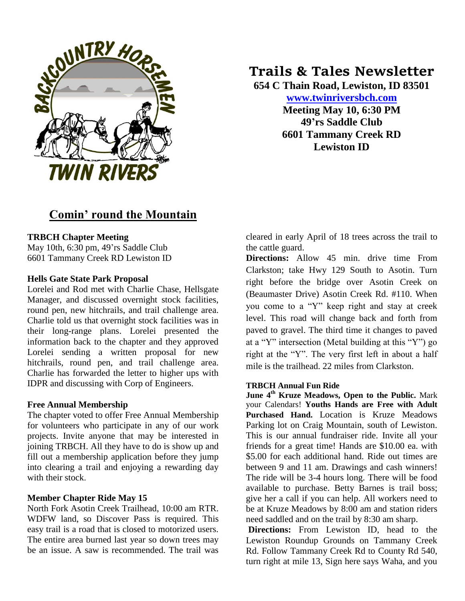

# **Comin' round the Mountain**

## **TRBCH Chapter Meeting**

May 10th, 6:30 pm, 49'rs Saddle Club 6601 Tammany Creek RD Lewiston ID

## **Hells Gate State Park Proposal**

Lorelei and Rod met with Charlie Chase, Hellsgate Manager, and discussed overnight stock facilities, round pen, new hitchrails, and trail challenge area. Charlie told us that overnight stock facilities was in their long-range plans. Lorelei presented the information back to the chapter and they approved Lorelei sending a written proposal for new hitchrails, round pen, and trail challenge area. Charlie has forwarded the letter to higher ups with IDPR and discussing with Corp of Engineers.

## **Free Annual Membership**

The chapter voted to offer Free Annual Membership for volunteers who participate in any of our work projects. Invite anyone that may be interested in joining TRBCH. All they have to do is show up and fill out a membership application before they jump into clearing a trail and enjoying a rewarding day with their stock.

## **Member Chapter Ride May 15**

North Fork Asotin Creek Trailhead, 10:00 am RTR. WDFW land, so Discover Pass is required. This easy trail is a road that is closed to motorized users. The entire area burned last year so down trees may be an issue. A saw is recommended. The trail was

# **Trails & Tales Newsletter**

**654 C Thain Road, Lewiston, ID 83501 [www.twinriversbch.com](http://www.twinriversbch.com/)**

> **Meeting May 10, 6:30 PM 49'rs Saddle Club 6601 Tammany Creek RD Lewiston ID**

cleared in early April of 18 trees across the trail to the cattle guard.

**Directions:** Allow 45 min. drive time From Clarkston; take Hwy 129 South to Asotin. Turn right before the bridge over Asotin Creek on (Beaumaster Drive) Asotin Creek Rd. #110. When you come to a "Y" keep right and stay at creek level. This road will change back and forth from paved to gravel. The third time it changes to paved at a "Y" intersection (Metal building at this "Y") go right at the "Y". The very first left in about a half mile is the trailhead. 22 miles from Clarkston.

#### **TRBCH Annual Fun Ride**

**June 4th Kruze Meadows, Open to the Public.** Mark your Calendars! **Youths Hands are Free with Adult Purchased Hand.** Location is Kruze Meadows Parking lot on Craig Mountain, south of Lewiston. This is our annual fundraiser ride. Invite all your friends for a great time! Hands are \$10.00 ea. with \$5.00 for each additional hand. Ride out times are between 9 and 11 am. Drawings and cash winners! The ride will be 3-4 hours long. There will be food available to purchase. Betty Barnes is trail boss; give her a call if you can help. All workers need to be at Kruze Meadows by 8:00 am and station riders need saddled and on the trail by 8:30 am sharp.

**Directions:** From Lewiston ID, head to the Lewiston Roundup Grounds on Tammany Creek Rd. Follow Tammany Creek Rd to County Rd 540, turn right at mile 13, Sign here says Waha, and you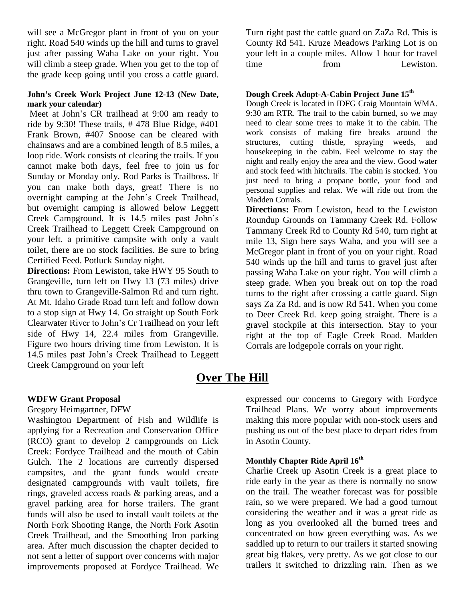will see a McGregor plant in front of you on your right. Road 540 winds up the hill and turns to gravel just after passing Waha Lake on your right. You will climb a steep grade. When you get to the top of the grade keep going until you cross a cattle guard.

#### **John's Creek Work Project June 12-13 (New Date, mark your calendar)**

Meet at John's CR trailhead at 9:00 am ready to ride by 9:30! These trails, # 478 Blue Ridge, #401 Frank Brown, #407 Snoose can be cleared with chainsaws and are a combined length of 8.5 miles, a loop ride. Work consists of clearing the trails. If you cannot make both days, feel free to join us for Sunday or Monday only. Rod Parks is Trailboss. If you can make both days, great! There is no overnight camping at the John's Creek Trailhead, but overnight camping is allowed below Leggett Creek Campground. It is 14.5 miles past John's Creek Trailhead to Leggett Creek Campground on your left. a primitive campsite with only a vault toilet, there are no stock facilities. Be sure to bring Certified Feed. Potluck Sunday night.

**Directions:** From Lewiston, take HWY 95 South to Grangeville, turn left on Hwy 13 (73 miles) drive thru town to Grangeville-Salmon Rd and turn right. At Mt. Idaho Grade Road turn left and follow down to a stop sign at Hwy 14. Go straight up South Fork Clearwater River to John's Cr Trailhead on your left side of Hwy 14, 22.4 miles from Grangeville. Figure two hours driving time from Lewiston. It is 14.5 miles past John's Creek Trailhead to Leggett Creek Campground on your left

Turn right past the cattle guard on ZaZa Rd. This is County Rd 541. Kruze Meadows Parking Lot is on your left in a couple miles. Allow 1 hour for travel time from Lewiston.

#### **Dough Creek Adopt-A-Cabin Project June 15th**

Dough Creek is located in IDFG Craig Mountain WMA. 9:30 am RTR. The trail to the cabin burned, so we may need to clear some trees to make it to the cabin. The work consists of making fire breaks around the structures, cutting thistle, spraying weeds, and housekeeping in the cabin. Feel welcome to stay the night and really enjoy the area and the view. Good water and stock feed with hitchrails. The cabin is stocked. You just need to bring a propane bottle, your food and personal supplies and relax. We will ride out from the Madden Corrals.

**Directions:** From Lewiston, head to the Lewiston Roundup Grounds on Tammany Creek Rd. Follow Tammany Creek Rd to County Rd 540, turn right at mile 13, Sign here says Waha, and you will see a McGregor plant in front of you on your right. Road 540 winds up the hill and turns to gravel just after passing Waha Lake on your right. You will climb a steep grade. When you break out on top the road turns to the right after crossing a cattle guard. Sign says Za Za Rd. and is now Rd 541. When you come to Deer Creek Rd. keep going straight. There is a gravel stockpile at this intersection. Stay to your right at the top of Eagle Creek Road. Madden Corrals are lodgepole corrals on your right.

# **Over The Hill**

#### **WDFW Grant Proposal**

#### Gregory Heimgartner, DFW

Washington Department of Fish and Wildlife is applying for a Recreation and Conservation Office (RCO) grant to develop 2 campgrounds on Lick Creek: Fordyce Trailhead and the mouth of Cabin Gulch. The 2 locations are currently dispersed campsites, and the grant funds would create designated campgrounds with vault toilets, fire rings, graveled access roads & parking areas, and a gravel parking area for horse trailers. The grant funds will also be used to install vault toilets at the North Fork Shooting Range, the North Fork Asotin Creek Trailhead, and the Smoothing Iron parking area. After much discussion the chapter decided to not sent a letter of support over concerns with major improvements proposed at Fordyce Trailhead. We

expressed our concerns to Gregory with Fordyce Trailhead Plans. We worry about improvements making this more popular with non-stock users and pushing us out of the best place to depart rides from in Asotin County.

# **Monthly Chapter Ride April 16th**

Charlie Creek up Asotin Creek is a great place to ride early in the year as there is normally no snow on the trail. The weather forecast was for possible rain, so we were prepared. We had a good turnout considering the weather and it was a great ride as long as you overlooked all the burned trees and concentrated on how green everything was. As we saddled up to return to our trailers it started snowing great big flakes, very pretty. As we got close to our trailers it switched to drizzling rain. Then as we